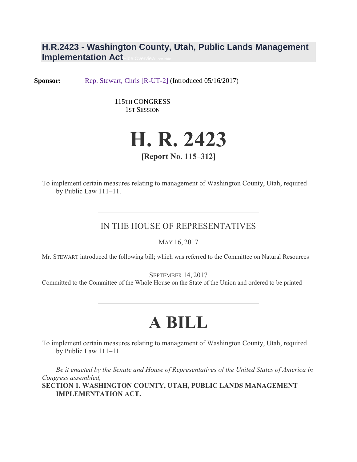## **H.R.2423 - Washington County, Utah, Public Lands Management Implementation Act**

**Sponsor:** [Rep. Stewart, Chris \[R-UT-2\]](https://www.congress.gov/member/chris-stewart/S001192?q=%7B%22search%22%3A%5B%22HR2423%22%5D%7D&r=1) (Introduced 05/16/2017)

115TH CONGRESS 1ST SESSION



To implement certain measures relating to management of Washington County, Utah, required by Public Law 111–11.

## IN THE HOUSE OF REPRESENTATIVES

MAY 16, 2017

Mr. STEWART introduced the following bill; which was referred to the Committee on Natural Resources

SEPTEMBER 14, 2017

Committed to the Committee of the Whole House on the State of the Union and ordered to be printed

## **A BILL**

To implement certain measures relating to management of Washington County, Utah, required by Public Law 111–11.

*Be it enacted by the Senate and House of Representatives of the United States of America in Congress assembled,* **SECTION 1. WASHINGTON COUNTY, UTAH, PUBLIC LANDS MANAGEMENT IMPLEMENTATION ACT.**